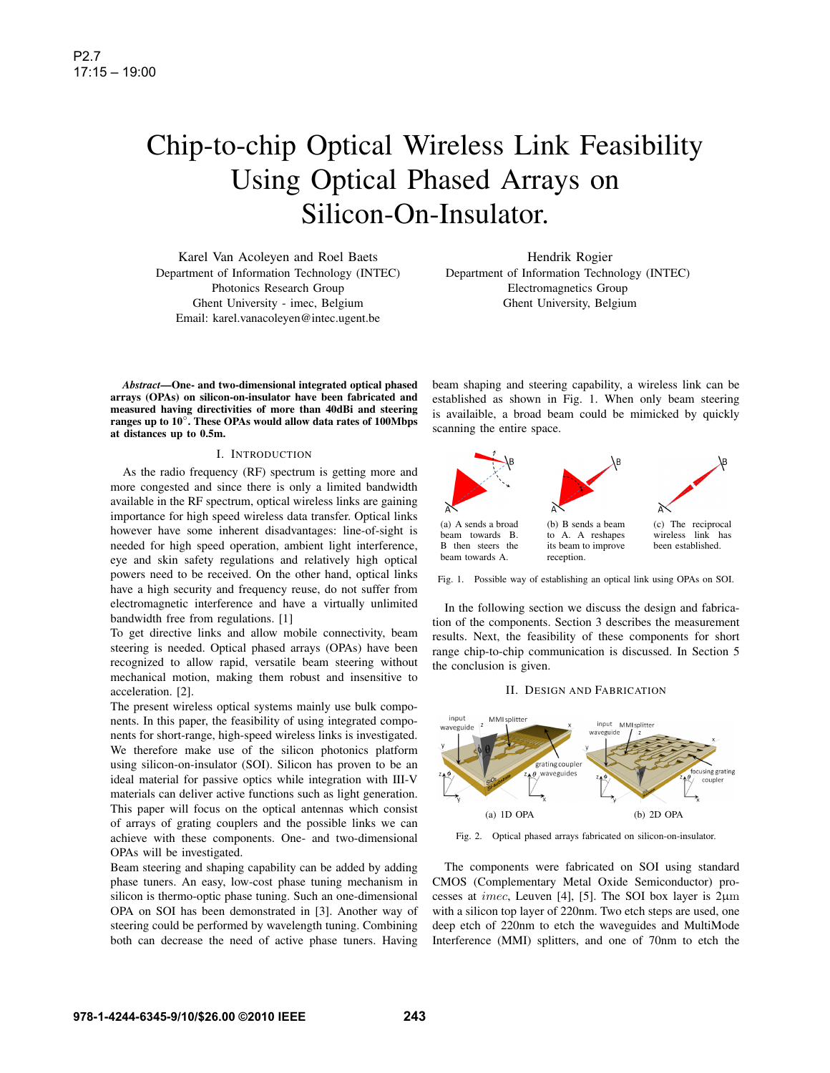# Chip-to-chip Optical Wireless Link Feasibility Using Optical Phased Arrays on Silicon-On-Insulator.

Karel Van Acoleyen and Roel Baets Department of Information Technology (INTEC) Photonics Research Group Ghent University - imec, Belgium Email: karel.vanacoleyen@intec.ugent.be

*Abstract***—One- and two-dimensional integrated optical phased arrays (OPAs) on silicon-on-insulator have been fabricated and measured having directivities of more than 40dBi and steering ranges up to 10**◦**. These OPAs would allow data rates of 100Mbps at distances up to 0.5m.**

### I. INTRODUCTION

As the radio frequency (RF) spectrum is getting more and more congested and since there is only a limited bandwidth available in the RF spectrum, optical wireless links are gaining importance for high speed wireless data transfer. Optical links however have some inherent disadvantages: line-of-sight is needed for high speed operation, ambient light interference, eye and skin safety regulations and relatively high optical powers need to be received. On the other hand, optical links have a high security and frequency reuse, do not suffer from electromagnetic interference and have a virtually unlimited bandwidth free from regulations. [1]

To get directive links and allow mobile connectivity, beam steering is needed. Optical phased arrays (OPAs) have been recognized to allow rapid, versatile beam steering without mechanical motion, making them robust and insensitive to acceleration. [2].

The present wireless optical systems mainly use bulk components. In this paper, the feasibility of using integrated components for short-range, high-speed wireless links is investigated. We therefore make use of the silicon photonics platform using silicon-on-insulator (SOI). Silicon has proven to be an ideal material for passive optics while integration with III-V materials can deliver active functions such as light generation. This paper will focus on the optical antennas which consist of arrays of grating couplers and the possible links we can achieve with these components. One- and two-dimensional OPAs will be investigated.

Beam steering and shaping capability can be added by adding phase tuners. An easy, low-cost phase tuning mechanism in silicon is thermo-optic phase tuning. Such an one-dimensional OPA on SOI has been demonstrated in [3]. Another way of steering could be performed by wavelength tuning. Combining both can decrease the need of active phase tuners. Having

Hendrik Rogier Department of Information Technology (INTEC) Electromagnetics Group Ghent University, Belgium

beam shaping and steering capability, a wireless link can be established as shown in Fig. 1. When only beam steering is availaible, a broad beam could be mimicked by quickly scanning the entire space.



Fig. 1. Possible way of establishing an optical link using OPAs on SOI.

In the following section we discuss the design and fabrication of the components. Section 3 describes the measurement results. Next, the feasibility of these components for short range chip-to-chip communication is discussed. In Section 5 the conclusion is given.

### II. DESIGN AND FABRICATION



Fig. 2. Optical phased arrays fabricated on silicon-on-insulator.

The components were fabricated on SOI using standard CMOS (Complementary Metal Oxide Semiconductor) processes at *imec*, Leuven [4], [5]. The SOI box layer is  $2\mu$ m with a silicon top layer of 220nm. Two etch steps are used, one deep etch of 220nm to etch the waveguides and MultiMode Interference (MMI) splitters, and one of 70nm to etch the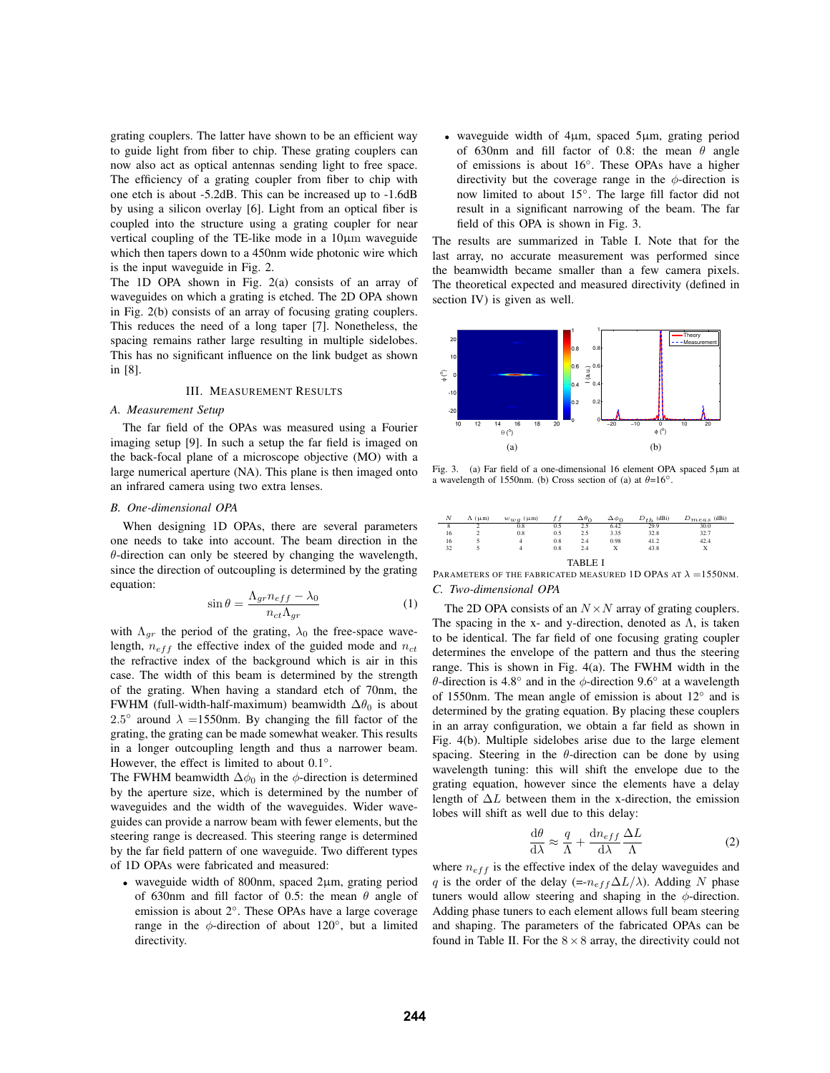grating couplers. The latter have shown to be an efficient way to guide light from fiber to chip. These grating couplers can now also act as optical antennas sending light to free space. The efficiency of a grating coupler from fiber to chip with one etch is about -5.2dB. This can be increased up to -1.6dB by using a silicon overlay [6]. Light from an optical fiber is coupled into the structure using a grating coupler for near vertical coupling of the TE-like mode in a 10µm waveguide which then tapers down to a 450nm wide photonic wire which is the input waveguide in Fig. 2.

The 1D OPA shown in Fig. 2(a) consists of an array of waveguides on which a grating is etched. The 2D OPA shown in Fig. 2(b) consists of an array of focusing grating couplers. This reduces the need of a long taper [7]. Nonetheless, the spacing remains rather large resulting in multiple sidelobes. This has no significant influence on the link budget as shown in [8].

## III. MEASUREMENT RESULTS

## *A. Measurement Setup*

The far field of the OPAs was measured using a Fourier imaging setup [9]. In such a setup the far field is imaged on the back-focal plane of a microscope objective (MO) with a large numerical aperture (NA). This plane is then imaged onto an infrared camera using two extra lenses.

## *B. One-dimensional OPA*

When designing 1D OPAs, there are several parameters one needs to take into account. The beam direction in the  $\theta$ -direction can only be steered by changing the wavelength, since the direction of outcoupling is determined by the grating equation:

$$
\sin \theta = \frac{\Lambda_{gr} n_{eff} - \lambda_0}{n_{ct} \Lambda_{gr}} \tag{1}
$$

with  $\Lambda_{gr}$  the period of the grating,  $\lambda_0$  the free-space wavelength,  $n_{eff}$  the effective index of the guided mode and  $n_{ct}$ the refractive index of the background which is air in this case. The width of this beam is determined by the strength of the grating. When having a standard etch of 70nm, the FWHM (full-width-half-maximum) beamwidth  $\Delta\theta_0$  is about 2.5° around  $\lambda = 1550$ nm. By changing the fill factor of the grating, the grating can be made somewhat weaker. This results in a longer outcoupling length and thus a narrower beam. However, the effect is limited to about 0.1◦.

The FWHM beamwidth  $\Delta\phi_0$  in the  $\phi$ -direction is determined by the aperture size, which is determined by the number of waveguides and the width of the waveguides. Wider waveguides can provide a narrow beam with fewer elements, but the steering range is decreased. This steering range is determined by the far field pattern of one waveguide. Two different types of 1D OPAs were fabricated and measured:

• waveguide width of 800nm, spaced 2µm, grating period of 630nm and fill factor of 0.5: the mean  $\theta$  angle of emission is about 2◦. These OPAs have a large coverage range in the  $\phi$ -direction of about 120 $\degree$ , but a limited directivity.

• waveguide width of 4µm, spaced 5µm, grating period of 630nm and fill factor of 0.8: the mean  $\theta$  angle of emissions is about 16◦. These OPAs have a higher directivity but the coverage range in the  $\phi$ -direction is now limited to about 15◦. The large fill factor did not result in a significant narrowing of the beam. The far field of this OPA is shown in Fig. 3.

The results are summarized in Table I. Note that for the last array, no accurate measurement was performed since the beamwidth became smaller than a few camera pixels. The theoretical expected and measured directivity (defined in section IV) is given as well.



Fig. 3. (a) Far field of a one-dimensional 16 element OPA spaced 5µm at a wavelength of 1550nm. (b) Cross section of (a) at  $\theta=16°$ .

| $\boldsymbol{N}$ | $\Lambda$ ( $\mu$ m) | $w_{w,q}$ ( $\mu$ m) |     | $\Delta\theta_0$ | $\Delta\phi_0$ | (dBi) | $\omega_{meas}$ (dBi) |  |  |  |
|------------------|----------------------|----------------------|-----|------------------|----------------|-------|-----------------------|--|--|--|
| 8                |                      | 0.8                  | 0.5 | 2.5              | 6.42           | 29.9  | 30.0                  |  |  |  |
| 16               |                      | 0.8                  | 0.5 | 2.5              | 3.35           | 32.8  | 32.7                  |  |  |  |
| 16               |                      | 4                    | 0.8 | 2.4              | 0.98           | 41.2  | 42.4                  |  |  |  |
| 32               |                      | 4                    | 0.8 | 2.4              | X              | 43.8  | X                     |  |  |  |
| TARLE.           |                      |                      |     |                  |                |       |                       |  |  |  |

PARAMETERS OF THE FABRICATED MEASURED 1D OPAS AT  $\lambda =$  1550NM. *C. Two-dimensional OPA*

The 2D OPA consists of an  $N \times N$  array of grating couplers. The spacing in the x- and y-direction, denoted as  $\Lambda$ , is taken to be identical. The far field of one focusing grating coupler determines the envelope of the pattern and thus the steering range. This is shown in Fig. 4(a). The FWHM width in the θ-direction is 4.8 $\degree$  and in the φ-direction 9.6 $\degree$  at a wavelength of 1550nm. The mean angle of emission is about 12◦ and is determined by the grating equation. By placing these couplers in an array configuration, we obtain a far field as shown in Fig. 4(b). Multiple sidelobes arise due to the large element spacing. Steering in the  $\theta$ -direction can be done by using wavelength tuning: this will shift the envelope due to the grating equation, however since the elements have a delay length of  $\Delta L$  between them in the x-direction, the emission lobes will shift as well due to this delay:

$$
\frac{\mathrm{d}\theta}{\mathrm{d}\lambda} \approx \frac{q}{\Lambda} + \frac{\mathrm{d}n_{eff}}{\mathrm{d}\lambda} \frac{\Delta L}{\Lambda} \tag{2}
$$

where  $n_{eff}$  is the effective index of the delay waveguides and q is the order of the delay (=- $n_{eff}\Delta L/\lambda$ ). Adding N phase tuners would allow steering and shaping in the  $\phi$ -direction. Adding phase tuners to each element allows full beam steering and shaping. The parameters of the fabricated OPAs can be found in Table II. For the  $8 \times 8$  array, the directivity could not